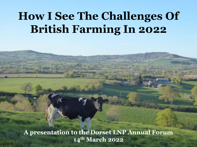## **How I See The Challenges Of British Farming In 2022**

**A presentation to the Dorset LNP Annual Forum 14th March 2022**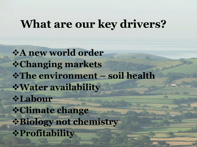### **What are our key drivers?**

❖**A new world order** ❖**Changing markets** ❖**The environment – soil health** ❖**Water availability** ❖**Labour** ❖**Climate change** ❖**Biology not chemistry** ❖**Profitability**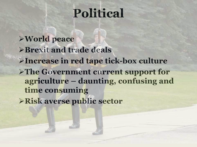## **Political**

➢**World peace** ➢**Brexit and trade deals** ➢**Increase in red tape tick-box culture** ➢**The Government current support for agriculture – daunting, confusing and time consuming** 

➢**Risk averse public sector**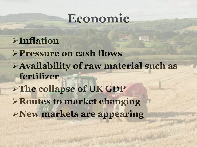#### **Economic**

#### ➢**Inflation**

➢**Pressure on cash flows** ➢**Availability of raw material such as fertilizer** ➢**The collapse of UK GDP**  ➢**Routes to market changing**  ➢**New markets are appearing**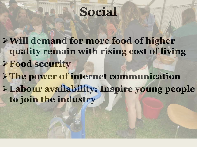## **Social**

➢**Will demand for more food of higher quality remain with rising cost of living** ➢**Food security** ➢**The power of internet communication** ➢**Labour availability: Inspire young people to join the industry**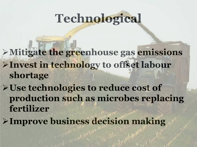# **Technological**

- ➢**Mitigate the greenhouse gas emissions**  ➢**Invest in technology to offset labour shortage**
- ➢**Use technologies to reduce cost of production such as microbes replacing fertilizer**
- ➢**Improve business decision making**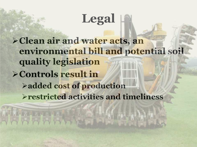## **Legal**

➢**Clean air and water acts, an environmental bill and potential soil quality legislation**  ➢**Controls result in**  ➢**added cost of production** ➢**restricted activities and timeliness**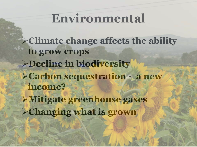## **Environmental**

➢**Climate change affects the ability to grow crops**  ➢**Decline in biodiversity** ➢**Carbon sequestration - a new income?** ➢**Mitigate greenhouse gases** ➢**Changing what is grown**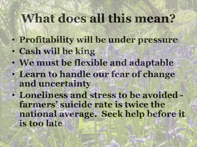## **What does all this mean?**

- **Profitability will be under pressure**
- **Cash will be king**
- **We must be flexible and adaptable**
- **Learn to handle our fear of change and uncertainty**
- **Loneliness and stress to be avoided farmers' suicide rate is twice the national average. Seek help before it is too late**